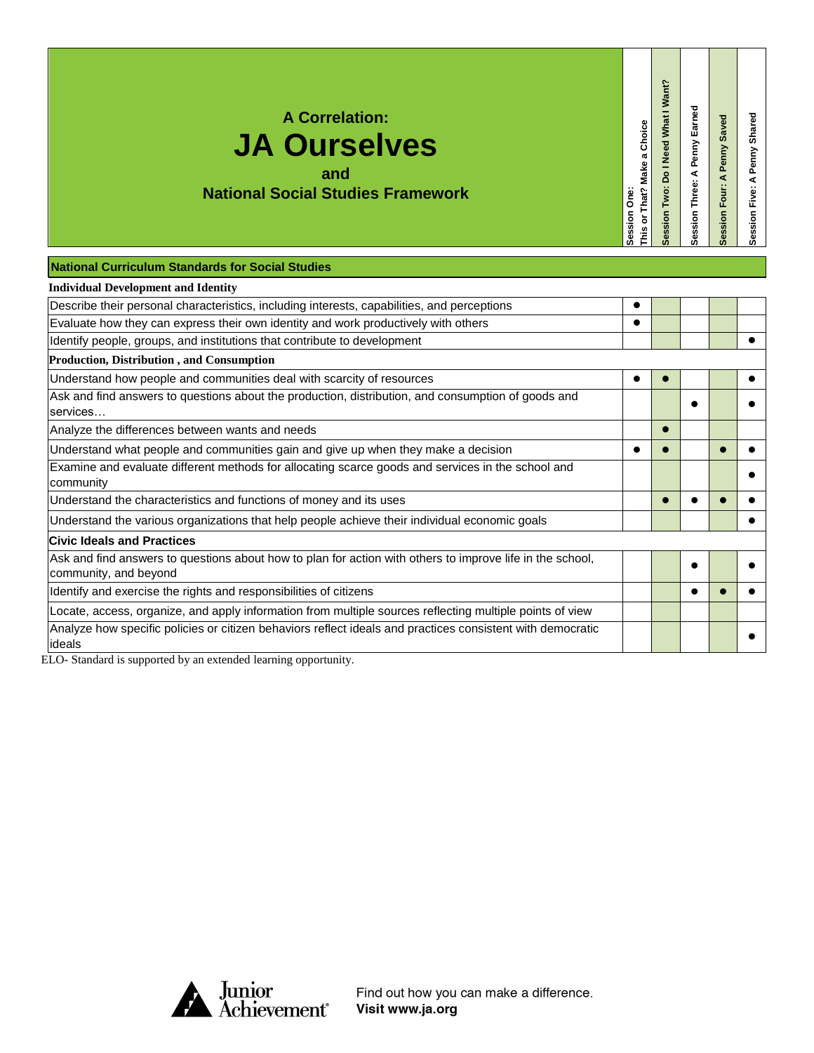| <b>A Correlation:</b>                    |
|------------------------------------------|
| <b>JA Ourselves</b>                      |
| and                                      |
| <b>National Social Studies Framework</b> |

ession Two: Do I Need What I Want? **Session Two: Do I Need What I Want?** Session Three: A Penny Earned This or That? Make a Choice **This or That? Make a Choice**

**Session Three: A Penny Earned**

**Session Four: A Penny Saved**

Session Four: A Penny Saved

**Session Five: A Penny Shared**

Session Five: A Penny Shared

**Session One:** 

Session One:

## **National Curriculum Standards for Social Studies**

| <b>Individual Development and Identity</b>                                                                                         |  |  |  |
|------------------------------------------------------------------------------------------------------------------------------------|--|--|--|
| Describe their personal characteristics, including interests, capabilities, and perceptions                                        |  |  |  |
| Evaluate how they can express their own identity and work productively with others                                                 |  |  |  |
| Identify people, groups, and institutions that contribute to development                                                           |  |  |  |
| <b>Production, Distribution, and Consumption</b>                                                                                   |  |  |  |
| Understand how people and communities deal with scarcity of resources                                                              |  |  |  |
| Ask and find answers to questions about the production, distribution, and consumption of goods and<br>services                     |  |  |  |
| Analyze the differences between wants and needs                                                                                    |  |  |  |
| Understand what people and communities gain and give up when they make a decision                                                  |  |  |  |
| Examine and evaluate different methods for allocating scarce goods and services in the school and<br>community                     |  |  |  |
| Understand the characteristics and functions of money and its uses                                                                 |  |  |  |
| Understand the various organizations that help people achieve their individual economic goals                                      |  |  |  |
| <b>Civic Ideals and Practices</b>                                                                                                  |  |  |  |
| Ask and find answers to questions about how to plan for action with others to improve life in the school,<br>community, and beyond |  |  |  |
| Identify and exercise the rights and responsibilities of citizens                                                                  |  |  |  |
| Locate, access, organize, and apply information from multiple sources reflecting multiple points of view                           |  |  |  |
| Analyze how specific policies or citizen behaviors reflect ideals and practices consistent with democratic<br>ideals               |  |  |  |

ELO- Standard is supported by an extended learning opportunity.